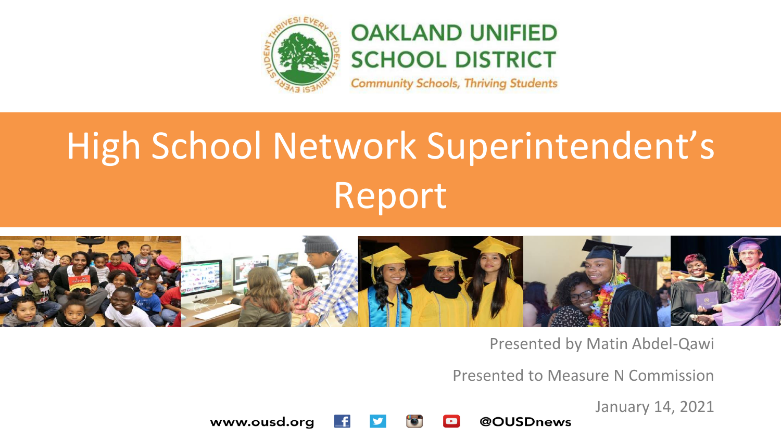

### **OAKLAND UNIFIED SCHOOL DISTRICT**

**Community Schools, Thriving Students** 

# High School Network Superintendent's Report



Presented by Matin Abdel-Qawi

Presented to Measure N Commission

January 14, 2021

www.ousd.org @OUSDnews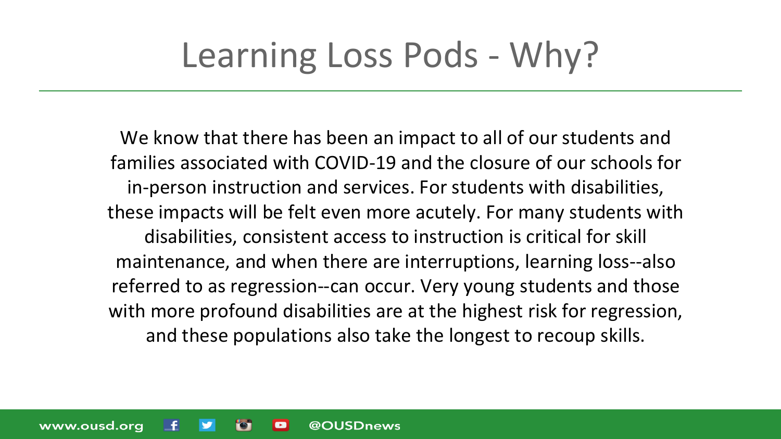### Learning Loss Pods - Why?

We know that there has been an impact to all of our students and families associated with COVID-19 and the closure of our schools for in-person instruction and services. For students with disabilities, these impacts will be felt even more acutely. For many students with disabilities, consistent access to instruction is critical for skill maintenance, and when there are interruptions, learning loss--also referred to as regression--can occur. Very young students and those with more profound disabilities are at the highest risk for regression, and these populations also take the longest to recoup skills.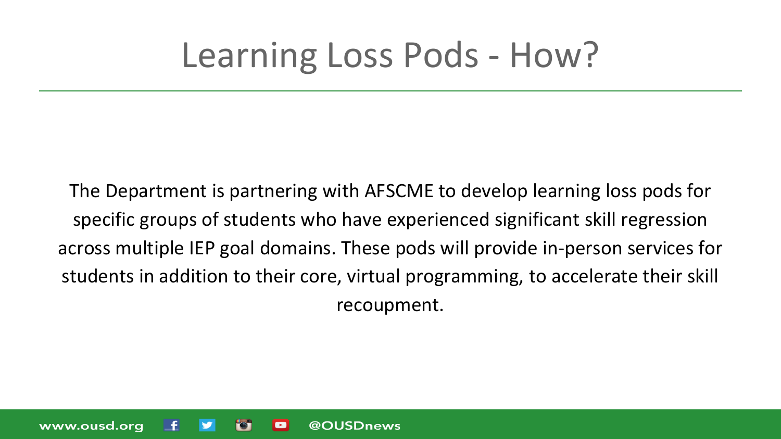### Learning Loss Pods - How?

The Department is partnering with AFSCME to develop learning loss pods for specific groups of students who have experienced significant skill regression across multiple IEP goal domains. These pods will provide in-person services for students in addition to their core, virtual programming, to accelerate their skill recoupment.

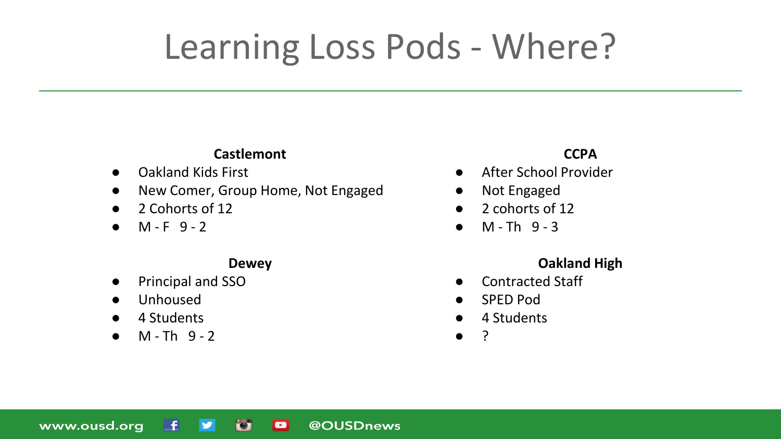### Learning Loss Pods - Where?

#### **Castlemont**

- Oakland Kids First
- New Comer, Group Home, Not Engaged
- 2 Cohorts of 12
- $\bullet$  M F 9 2

#### **Dewey**

- Principal and SSO
- **Unhoused**
- 4 Students
- $M Th$  9 2

#### **CCPA**

- After School Provider
- Not Engaged
- 2 cohorts of 12
- $\bullet$  M Th 9 3

#### **Oakland High**

- Contracted Staff
- SPED Pod
- 4 Students
- ?

www.ousd.org L£. **D** o @OUSDnews  $\blacktriangleright$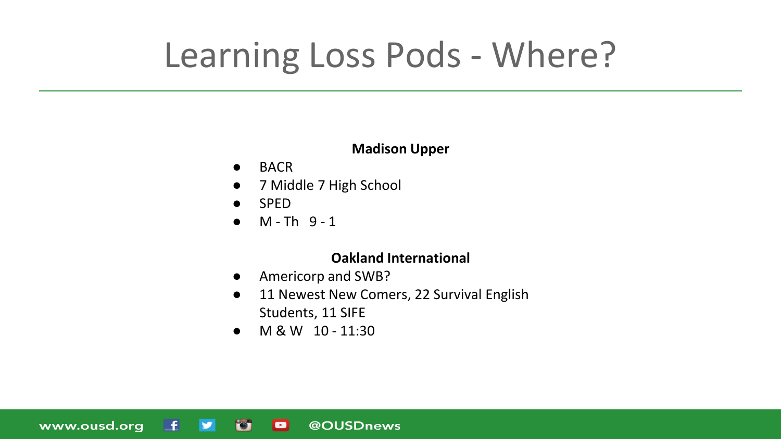### Learning Loss Pods - Where?

#### **Madison Upper**

- BACR
- 7 Middle 7 High School
- **SPED**
- $\bullet$  M Th  $9-1$

#### **Oakland International**

- Americorp and SWB?
- 11 Newest New Comers, 22 Survival English Students, 11 SIFE
- M & W 10 11:30

www.ousd.org **O** L£.  $\mathbf{v}$  $\blacksquare$ @OUSDnews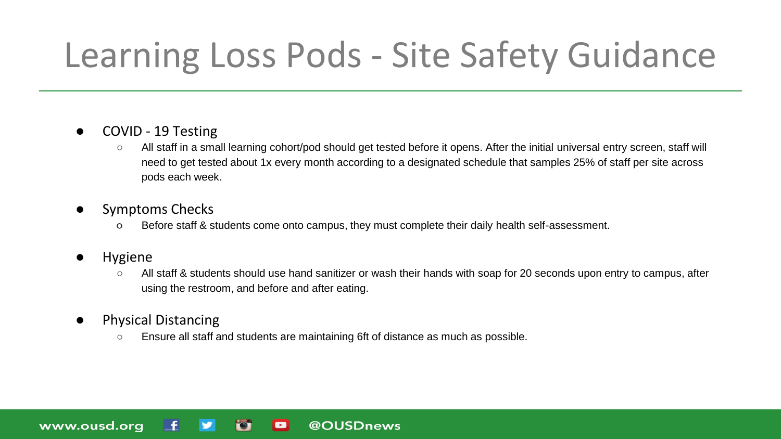### Learning Loss Pods - Site Safety Guidance

- COVID 19 Testing
	- All staff in a small learning cohort/pod should get tested before it opens. After the initial universal entry screen, staff will need to get tested about 1x every month according to a designated schedule that samples 25% of staff per site across pods each week.
- Symptoms Checks
	- Before staff & students come onto campus, they must complete their daily health self-assessment.

@OUSDnews

**Hygiene** 

www.ousd.org

- All staff & students should use hand sanitizer or wash their hands with soap for 20 seconds upon entry to campus, after using the restroom, and before and after eating.
- Physical Distancing
	- Ensure all staff and students are maintaining 6ft of distance as much as possible.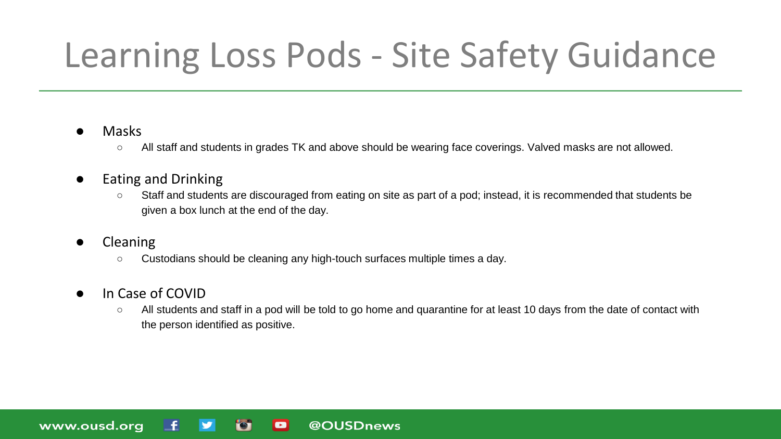### Learning Loss Pods - Site Safety Guidance

#### ● Masks

○ All staff and students in grades TK and above should be wearing face coverings. Valved masks are not allowed.

#### ● Eating and Drinking

- Staff and students are discouraged from eating on site as part of a pod; instead, it is recommended that students be given a box lunch at the end of the day.
- Cleaning

www.ousd.org

○ Custodians should be cleaning any high-touch surfaces multiple times a day.

 $\blacksquare$ 

@OUSDnews

- In Case of COVID
	- All students and staff in a pod will be told to go home and quarantine for at least 10 days from the date of contact with the person identified as positive.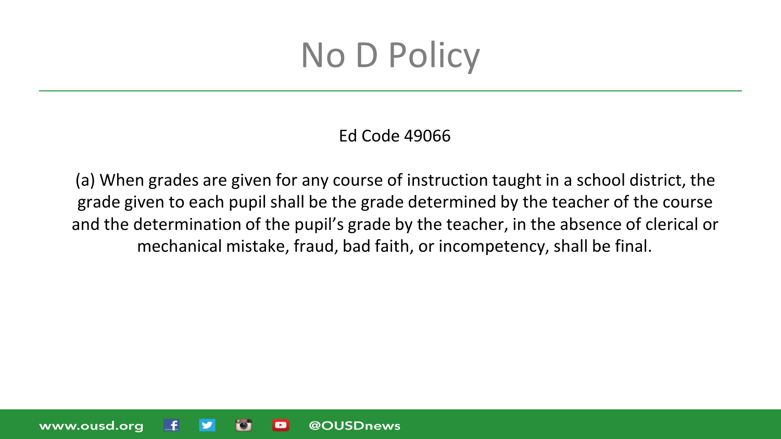Ed Code 49066

(a) When grades are given for any course of instruction taught in a school district, the grade given to each pupil shall be the grade determined by the teacher of the course and the determination of the pupil's grade by the teacher, in the absence of clerical or mechanical mistake, fraud, bad faith, or incompetency, shall be final.

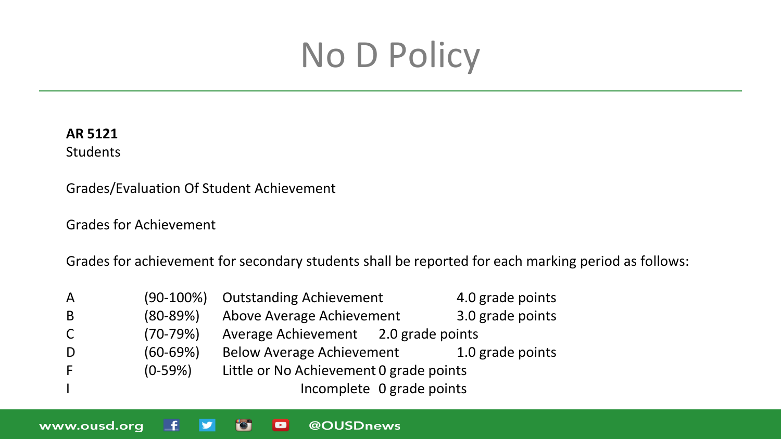#### **AR 5121**

**Students** 

www.ousd.org

Grades/Evaluation Of Student Achievement

Grades for Achievement

L£.

 $\blacktriangleright$ 

**For** 

o

Grades for achievement for secondary students shall be reported for each marking period as follows:

@OUSDnews

| $\overline{A}$ | $(90-100\%)$ | <b>Outstanding Achievement</b>          | 4.0 grade points |  |  |  |
|----------------|--------------|-----------------------------------------|------------------|--|--|--|
| -B             | $(80-89%)$   | Above Average Achievement               | 3.0 grade points |  |  |  |
| C.             | $(70-79%)$   | Average Achievement 2.0 grade points    |                  |  |  |  |
| -D             | $(60 - 69%)$ | <b>Below Average Achievement</b>        | 1.0 grade points |  |  |  |
| -F             | $(0-59%)$    | Little or No Achievement 0 grade points |                  |  |  |  |
|                |              | Incomplete 0 grade points               |                  |  |  |  |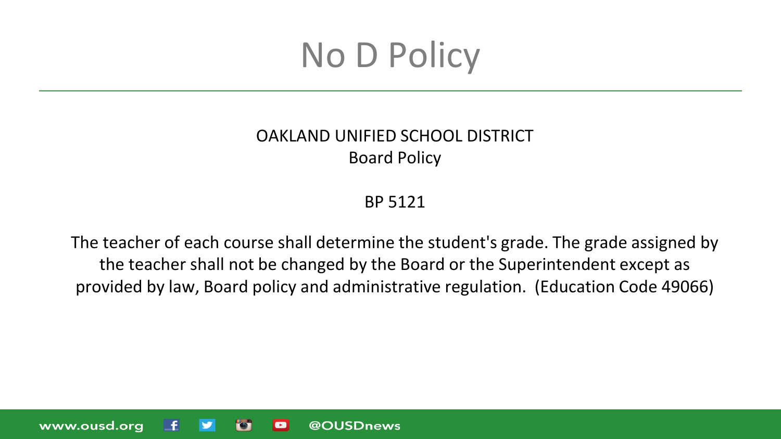#### OAKLAND UNIFIED SCHOOL DISTRICT Board Policy

BP 5121

The teacher of each course shall determine the student's grade. The grade assigned by the teacher shall not be changed by the Board or the Superintendent except as provided by law, Board policy and administrative regulation. (Education Code 49066)

www.ousd.org @OUSDnews  $\blacksquare$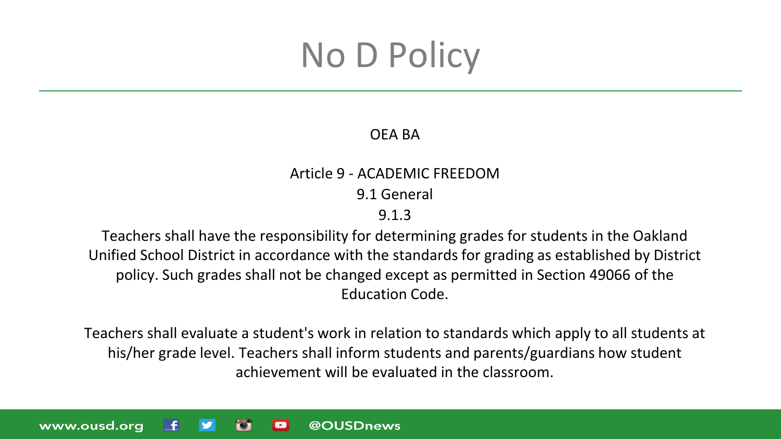#### OEA BA

#### Article 9 - ACADEMIC FREEDOM

9.1 General

#### 9.1.3

Teachers shall have the responsibility for determining grades for students in the Oakland Unified School District in accordance with the standards for grading as established by District policy. Such grades shall not be changed except as permitted in Section 49066 of the Education Code.

Teachers shall evaluate a student's work in relation to standards which apply to all students at his/her grade level. Teachers shall inform students and parents/guardians how student achievement will be evaluated in the classroom.

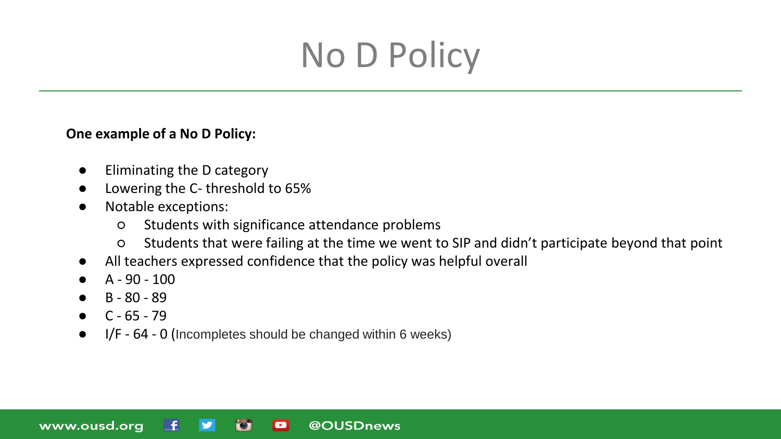#### **One example of a No D Policy:**

- Eliminating the D category
- Lowering the C- threshold to 65%
- Notable exceptions:
	- Students with significance attendance problems
	- Students that were failing at the time we went to SIP and didn't participate beyond that point
- All teachers expressed confidence that the policy was helpful overall

@OUSDnews

- $A 90 100$
- B 80 89
- $C 65 79$

www.ousd.org

● I/F - 64 - 0 (Incompletes should be changed within 6 weeks)

 $\blacksquare$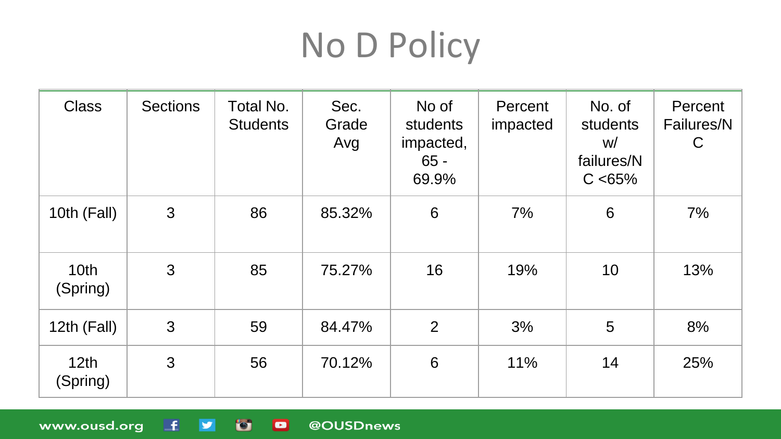| <b>Class</b>                 | <b>Sections</b> | Total No.<br><b>Students</b> | Sec.<br>Grade<br>Avg | No of<br>students<br>impacted,<br>$65 -$<br>69.9% | Percent<br>impacted | No. of<br>students<br>W/<br>failures/N<br>C < 65% | Percent<br>Failures/N<br>$\mathsf C$ |
|------------------------------|-----------------|------------------------------|----------------------|---------------------------------------------------|---------------------|---------------------------------------------------|--------------------------------------|
| 10th (Fall)                  | 3               | 86                           | 85.32%               | 6                                                 | 7%                  | 6                                                 | 7%                                   |
| 10 <sub>th</sub><br>(Spring) | 3               | 85                           | 75.27%               | 16                                                | 19%                 | 10                                                | 13%                                  |
| 12th (Fall)                  | 3               | 59                           | 84.47%               | $\overline{2}$                                    | 3%                  | 5                                                 | 8%                                   |
| 12 <sub>th</sub><br>(Spring) | 3               | 56                           | 70.12%               | 6                                                 | 11%                 | 14                                                | 25%                                  |

@OUSDnews

www.ousd.org f y o

 $\blacksquare$